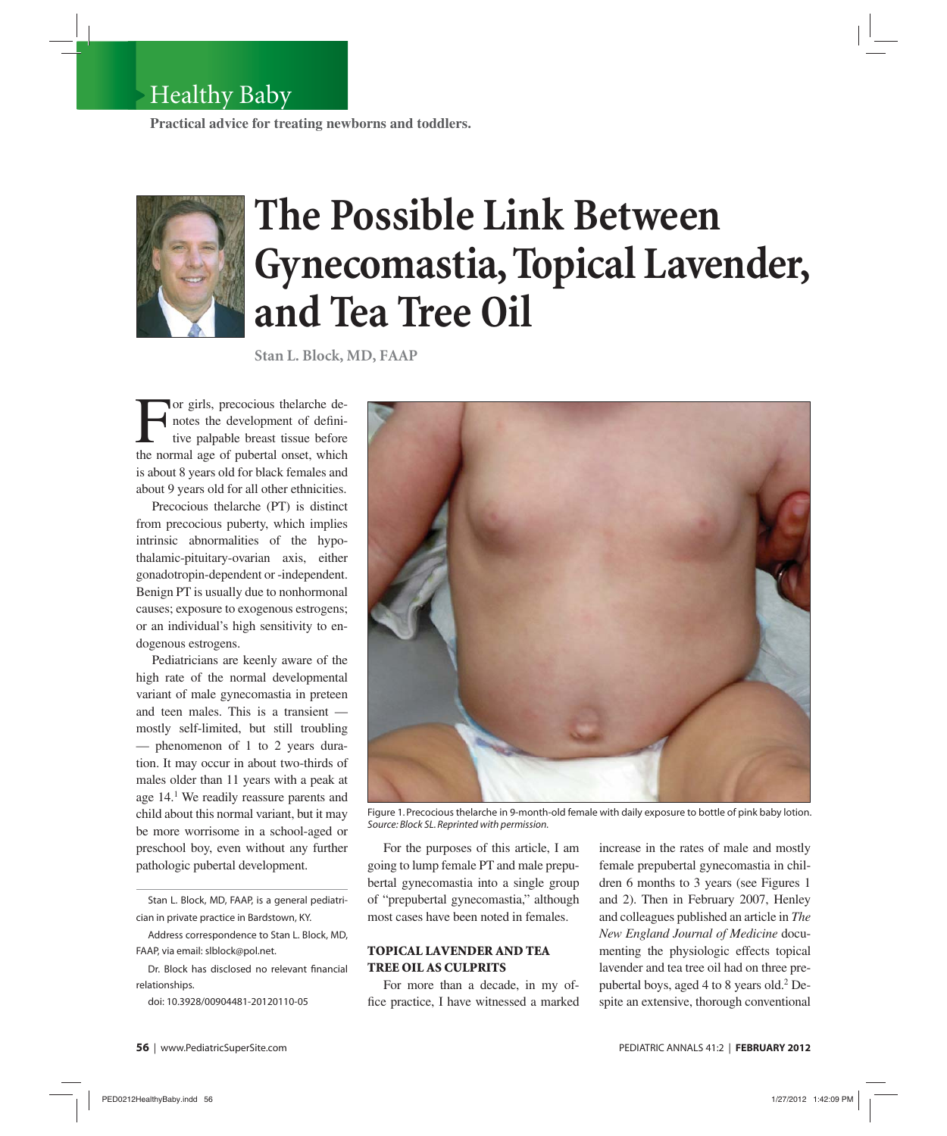## Healthy Baby

**Practical advice for treating newborns and toddlers.**



# **The Possible Link Between Gynecomastia, Topical Lavender, and Tea Tree Oil**

**Stan L. Block, MD, FAAP**

For girls, precocious thelarche de-<br>notes the development of defini-<br>tive palpable breast tissue before<br>the normal age of pubertal onset, which notes the development of definitive palpable breast tissue before the normal age of pubertal onset, which is about 8 years old for black females and about 9 years old for all other ethnicities.

Precocious thelarche (PT) is distinct from precocious puberty, which implies intrinsic abnormalities of the hypothalamic-pituitary-ovarian axis, either gonadotropin-dependent or -independent. Benign PT is usually due to nonhormonal causes; exposure to exogenous estrogens; or an individual's high sensitivity to endogenous estrogens.

Pediatricians are keenly aware of the high rate of the normal developmental variant of male gynecomastia in preteen and teen males. This is a transient mostly self-limited, but still troubling — phenomenon of 1 to 2 years duration. It may occur in about two-thirds of males older than 11 years with a peak at age 14.1 We readily reassure parents and child about this normal variant, but it may be more worrisome in a school-aged or preschool boy, even without any further pathologic pubertal development.

Stan L. Block, MD, FAAP, is a general pediatrician in private practice in Bardstown, KY.

Address correspondence to Stan L. Block, MD, FAAP, via email: slblock@pol.net.

Dr. Block has disclosed no relevant financial relationships.

doi: 10.3928/00904481-20120110-05



Figure 1. Precocious thelarche in 9-month-old female with daily exposure to bottle of pink baby lotion. *Source: Block SL. Reprinted with permission.* 

For the purposes of this article, I am going to lump female PT and male prepubertal gynecomastia into a single group of "prepubertal gynecomastia," although most cases have been noted in females.

#### **TOPICAL LAVENDER AND TEA TREE OIL AS CULPRITS**

For more than a decade, in my office practice, I have witnessed a marked increase in the rates of male and mostly female prepubertal gynecomastia in children 6 months to 3 years (see Figures 1 and 2). Then in February 2007, Henley and colleagues published an article in *The New England Journal of Medicine* documenting the physiologic effects topical lavender and tea tree oil had on three prepubertal boys, aged 4 to 8 years old.<sup>2</sup> Despite an extensive, thorough conventional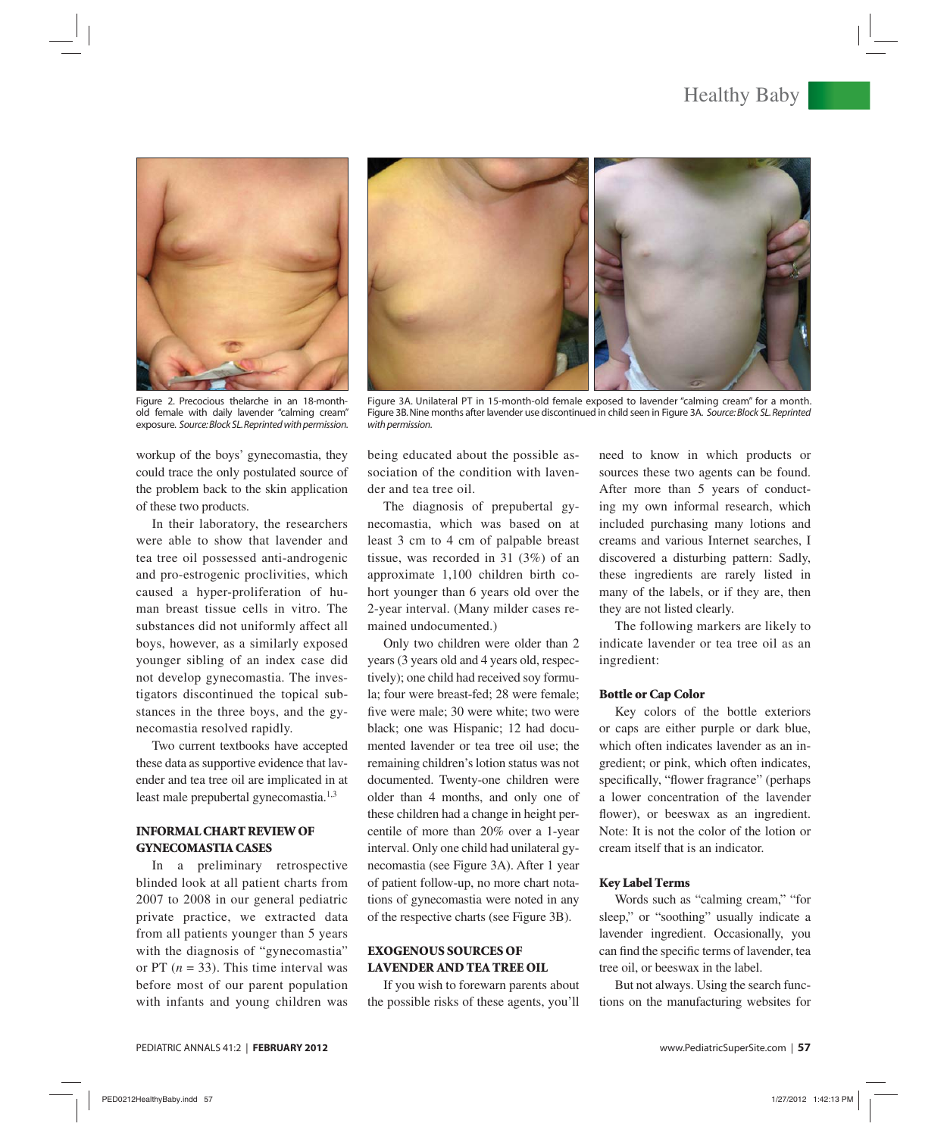### Healthy Baby



Figure 2. Precocious thelarche in an 18-monthold female with daily lavender "calming cream" exposure. *Source: Block SL. Reprinted with permission.* 

workup of the boys' gynecomastia, they could trace the only postulated source of the problem back to the skin application of these two products.

In their laboratory, the researchers were able to show that lavender and tea tree oil possessed anti-androgenic and pro-estrogenic proclivities, which caused a hyper-proliferation of human breast tissue cells in vitro. The substances did not uniformly affect all boys, however, as a similarly exposed younger sibling of an index case did not develop gynecomastia. The investigators discontinued the topical substances in the three boys, and the gynecomastia resolved rapidly.

Two current textbooks have accepted these data as supportive evidence that lavender and tea tree oil are implicated in at least male prepubertal gynecomastia.<sup>1,3</sup>

#### **INFORMAL CHART REVIEW OF GYNECOMASTIA CASES**

In a preliminary retrospective blinded look at all patient charts from 2007 to 2008 in our general pediatric private practice, we extracted data from all patients younger than 5 years with the diagnosis of "gynecomastia" or PT (*n* = 33). This time interval was before most of our parent population with infants and young children was



Figure 3A. Unilateral PT in 15-month-old female exposed to lavender "calming cream" for a month. Figure 3B. Nine months after lavender use discontinued in child seen in Figure 3A. *Source: Block SL. Reprinted with permission.* 

being educated about the possible association of the condition with lavender and tea tree oil.

The diagnosis of prepubertal gynecomastia, which was based on at least 3 cm to 4 cm of palpable breast tissue, was recorded in 31 (3%) of an approximate 1,100 children birth cohort younger than 6 years old over the 2-year interval. (Many milder cases remained undocumented.)

Only two children were older than 2 years (3 years old and 4 years old, respectively); one child had received soy formula; four were breast-fed; 28 were female; five were male; 30 were white; two were black; one was Hispanic; 12 had documented lavender or tea tree oil use; the remaining children's lotion status was not documented. Twenty-one children were older than 4 months, and only one of these children had a change in height percentile of more than 20% over a 1-year interval. Only one child had unilateral gynecomastia (see Figure 3A). After 1 year of patient follow-up, no more chart notations of gynecomastia were noted in any of the respective charts (see Figure 3B).

#### **EXOGENOUS SOURCES OF LAVENDER AND TEA TREE OIL**

If you wish to forewarn parents about the possible risks of these agents, you'll need to know in which products or sources these two agents can be found. After more than 5 years of conducting my own informal research, which included purchasing many lotions and creams and various Internet searches, I discovered a disturbing pattern: Sadly, these ingredients are rarely listed in many of the labels, or if they are, then they are not listed clearly.

The following markers are likely to indicate lavender or tea tree oil as an ingredient:

#### **Bottle or Cap Color**

Key colors of the bottle exteriors or caps are either purple or dark blue, which often indicates lavender as an ingredient; or pink, which often indicates, specifically, "flower fragrance" (perhaps a lower concentration of the lavender flower), or beeswax as an ingredient. Note: It is not the color of the lotion or cream itself that is an indicator.

#### **Key Label Terms**

Words such as "calming cream," "for sleep," or "soothing" usually indicate a lavender ingredient. Occasionally, you can find the specific terms of lavender, tea tree oil, or beeswax in the label.

But not always. Using the search functions on the manufacturing websites for